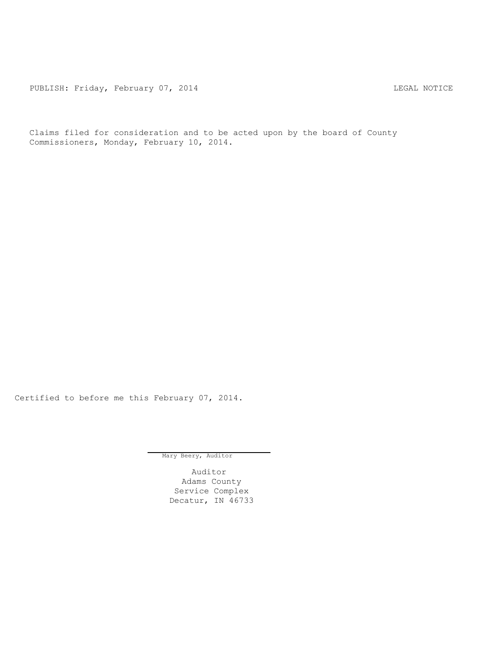PUBLISH: Friday, February 07, 2014 CHA CHARL MOTICE

Claims filed for consideration and to be acted upon by the board of County Commissioners, Monday, February 10, 2014.

Certified to before me this February 07, 2014.

Mary Beery, Auditor

Auditor Adams County Service Complex Decatur, IN 46733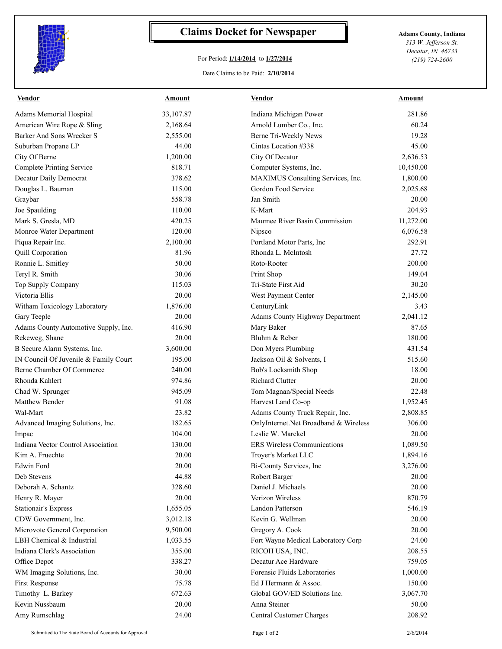

## **Claims Docket for Newspaper Adams County, Indiana**

## For Period: **1/14/2014** to **1/27/2014**

*313 W. Jefferson St. Decatur, IN 46733 (219) 724-2600*

## Date Claims to be Paid: **2/10/2014**

| <b>Vendor</b>                         | Amount    | <b>Vendor</b>                          | Amount    |
|---------------------------------------|-----------|----------------------------------------|-----------|
| Adams Memorial Hospital               | 33,107.87 | Indiana Michigan Power                 | 281.86    |
| American Wire Rope & Sling            | 2,168.64  | Arnold Lumber Co., Inc.                | 60.24     |
| Barker And Sons Wrecker S             | 2,555.00  | Berne Tri-Weekly News                  | 19.28     |
| Suburban Propane LP                   | 44.00     | Cintas Location #338                   | 45.00     |
| City Of Berne                         | 1,200.00  | City Of Decatur                        | 2,636.53  |
| <b>Complete Printing Service</b>      | 818.71    | Computer Systems, Inc.                 | 10,450.00 |
| Decatur Daily Democrat                | 378.62    | MAXIMUS Consulting Services, Inc.      | 1,800.00  |
| Douglas L. Bauman                     | 115.00    | Gordon Food Service                    | 2,025.68  |
| Graybar                               | 558.78    | Jan Smith                              | 20.00     |
| Joe Spaulding                         | 110.00    | K-Mart                                 | 204.93    |
| Mark S. Gresla, MD                    | 420.25    | Maumee River Basin Commission          | 11,272.00 |
| Monroe Water Department               | 120.00    | Nipsco                                 | 6,076.58  |
| Piqua Repair Inc.                     | 2,100.00  | Portland Motor Parts, Inc.             | 292.91    |
| Quill Corporation                     | 81.96     | Rhonda L. McIntosh                     | 27.72     |
| Ronnie L. Smitley                     | 50.00     | Roto-Rooter                            | 200.00    |
| Teryl R. Smith                        | 30.06     | Print Shop                             | 149.04    |
| Top Supply Company                    | 115.03    | Tri-State First Aid                    | 30.20     |
| Victoria Ellis                        | 20.00     | West Payment Center                    | 2,145.00  |
| Witham Toxicology Laboratory          | 1,876.00  | CenturyLink                            | 3.43      |
| Gary Teeple                           | 20.00     | <b>Adams County Highway Department</b> | 2,041.12  |
| Adams County Automotive Supply, Inc.  | 416.90    | Mary Baker                             | 87.65     |
| Rekeweg, Shane                        | 20.00     | Bluhm & Reber                          | 180.00    |
| B Secure Alarm Systems, Inc.          | 3,600.00  | Don Myers Plumbing                     | 431.54    |
| IN Council Of Juvenile & Family Court | 195.00    | Jackson Oil & Solvents, I              | 515.60    |
| Berne Chamber Of Commerce             | 240.00    | Bob's Locksmith Shop                   | 18.00     |
| Rhonda Kahlert                        | 974.86    | Richard Clutter                        | 20.00     |
| Chad W. Sprunger                      | 945.09    | Tom Magnan/Special Needs               | 22.48     |
| Matthew Bender                        | 91.08     | Harvest Land Co-op                     | 1,952.45  |
| Wal-Mart                              | 23.82     | Adams County Truck Repair, Inc.        | 2,808.85  |
| Advanced Imaging Solutions, Inc.      | 182.65    | OnlyInternet.Net Broadband & Wireless  | 306.00    |
| Impac                                 | 104.00    | Leslie W. Marckel                      | 20.00     |
| Indiana Vector Control Association    | 130.00    | <b>ERS Wireless Communications</b>     | 1,089.50  |
| Kim A. Fruechte                       | 20.00     | Troyer's Market LLC                    | 1,894.16  |
| Edwin Ford                            | 20.00     | Bi-County Services, Inc                | 3,276.00  |
| Deb Stevens                           | 44.88     | Robert Barger                          | 20.00     |
| Deborah A. Schantz                    | 328.60    | Daniel J. Michaels                     | 20.00     |
| Henry R. Mayer                        | 20.00     | Verizon Wireless                       | 870.79    |
| <b>Stationair's Express</b>           | 1,655.05  | Landon Patterson                       | 546.19    |
| CDW Government, Inc.                  | 3,012.18  | Kevin G. Wellman                       | 20.00     |
| Microvote General Corporation         | 9,500.00  | Gregory A. Cook                        | 20.00     |
| LBH Chemical & Industrial             | 1,033.55  | Fort Wayne Medical Laboratory Corp     | 24.00     |
| Indiana Clerk's Association           | 355.00    | RICOH USA, INC.                        | 208.55    |
| Office Depot                          | 338.27    | Decatur Ace Hardware                   | 759.05    |
| WM Imaging Solutions, Inc.            | 30.00     | Forensic Fluids Laboratories           | 1,000.00  |
| First Response                        | 75.78     | Ed J Hermann & Assoc.                  | 150.00    |
| Timothy L. Barkey                     | 672.63    | Global GOV/ED Solutions Inc.           | 3,067.70  |
| Kevin Nussbaum                        | 20.00     | Anna Steiner                           | 50.00     |
| Amy Rumschlag                         | 24.00     | Central Customer Charges               | 208.92    |
|                                       |           |                                        |           |